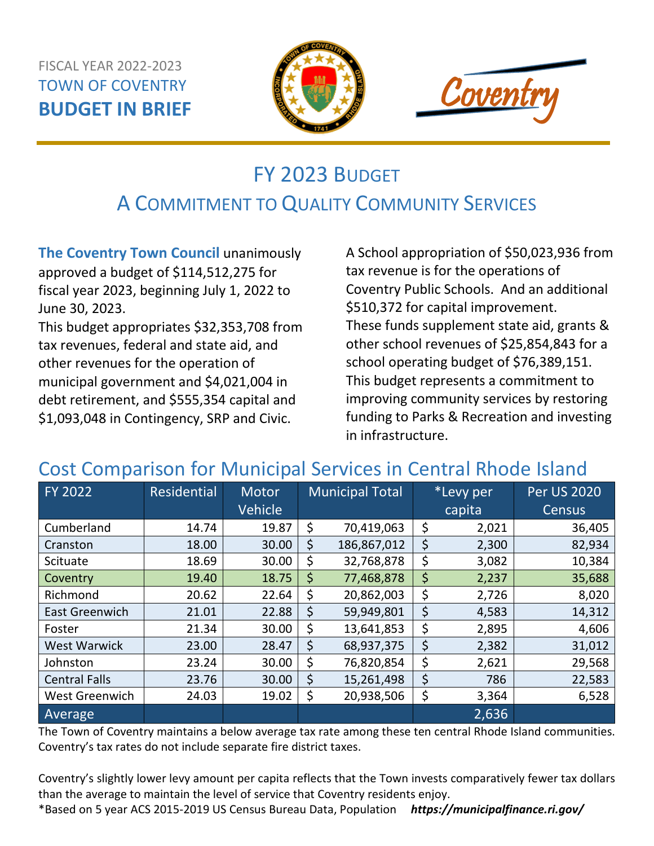#### FISCAL YEAR 2022-2023 TOWN OF COVENTRY **BUDGET IN BRIEF**





# FY 2023 BUDGET A COMMITMENT TO QUALITY COMMUNITY SERVICES

**The Coventry Town Council** unanimously approved a budget of \$114,512,275 for fiscal year 2023, beginning July 1, 2022 to June 30, 2023.

This budget appropriates \$32,353,708 from tax revenues, federal and state aid, and other revenues for the operation of municipal government and \$4,021,004 in debt retirement, and \$555,354 capital and \$1,093,048 in Contingency, SRP and Civic.

A School appropriation of \$50,023,936 from tax revenue is for the operations of Coventry Public Schools. And an additional \$510,372 for capital improvement. These funds supplement state aid, grants & other school revenues of \$25,854,843 for a school operating budget of \$76,389,151. This budget represents a commitment to improving community services by restoring funding to Parks & Recreation and investing in infrastructure.

### Cost Comparison for Municipal Services in Central Rhode Island

| FY 2022               | Residential | Motor   |    | <b>Municipal Total</b> | *Levy per   | <b>Per US 2020</b> |
|-----------------------|-------------|---------|----|------------------------|-------------|--------------------|
|                       |             | Vehicle |    |                        | capita      | <b>Census</b>      |
| Cumberland            | 14.74       | 19.87   | \$ | 70,419,063             | \$<br>2,021 | 36,405             |
| Cranston              | 18.00       | 30.00   | \$ | 186,867,012            | \$<br>2,300 | 82,934             |
| Scituate              | 18.69       | 30.00   | \$ | 32,768,878             | \$<br>3,082 | 10,384             |
| Coventry              | 19.40       | 18.75   | \$ | 77,468,878             | \$<br>2,237 | 35,688             |
| Richmond              | 20.62       | 22.64   | \$ | 20,862,003             | \$<br>2,726 | 8,020              |
| <b>East Greenwich</b> | 21.01       | 22.88   | \$ | 59,949,801             | \$<br>4,583 | 14,312             |
| Foster                | 21.34       | 30.00   | \$ | 13,641,853             | \$<br>2,895 | 4,606              |
| <b>West Warwick</b>   | 23.00       | 28.47   | \$ | 68,937,375             | \$<br>2,382 | 31,012             |
| Johnston              | 23.24       | 30.00   | Ş  | 76,820,854             | \$<br>2,621 | 29,568             |
| <b>Central Falls</b>  | 23.76       | 30.00   | \$ | 15,261,498             | \$<br>786   | 22,583             |
| West Greenwich        | 24.03       | 19.02   | \$ | 20,938,506             | \$<br>3,364 | 6,528              |
| Average               |             |         |    |                        | 2,636       |                    |

The Town of Coventry maintains a below average tax rate among these ten central Rhode Island communities. Coventry's tax rates do not include separate fire district taxes.

Coventry's slightly lower levy amount per capita reflects that the Town invests comparatively fewer tax dollars than the average to maintain the level of service that Coventry residents enjoy.

\*Based on 5 year ACS 2015-2019 US Census Bureau Data, Population *https://municipalfinance.ri.gov/*